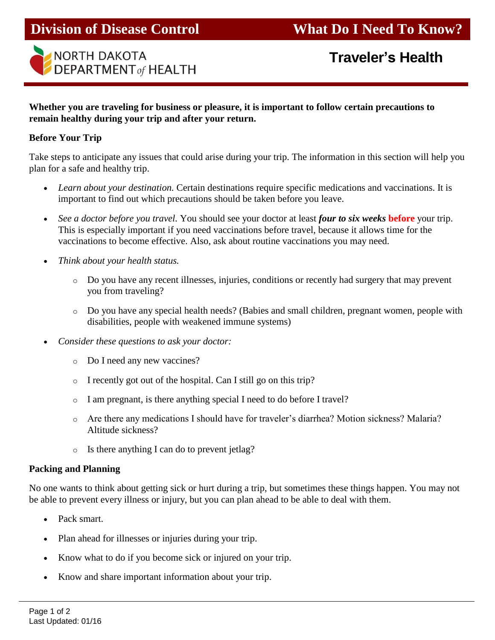



**Whether you are traveling for business or pleasure, it is important to follow certain precautions to remain healthy during your trip and after your return.**

## **Before Your Trip**

Take steps to anticipate any issues that could arise during your trip. The information in this section will help you plan for a safe and healthy trip.

- Learn about your destination. Certain destinations require specific medications and vaccinations. It is important to find out which precautions should be taken before you leave.
- *See a doctor before you travel.* You should see your doctor at least *four to six weeks* **before** your trip. This is especially important if you need vaccinations before travel, because it allows time for the vaccinations to become effective. Also, ask about routine vaccinations you may need.
- *Think about your health status.* 
	- o Do you have any recent illnesses, injuries, conditions or recently had surgery that may prevent you from traveling?
	- o Do you have any special health needs? (Babies and small children, pregnant women, people with disabilities, people with weakened immune systems)
- *Consider these questions to ask your doctor:*
	- o Do I need any new vaccines?
	- o I recently got out of the hospital. Can I still go on this trip?
	- o I am pregnant, is there anything special I need to do before I travel?
	- o Are there any medications I should have for traveler's diarrhea? Motion sickness? Malaria? Altitude sickness?
	- o Is there anything I can do to prevent jetlag?

## **Packing and Planning**

No one wants to think about getting sick or hurt during a trip, but sometimes these things happen. You may not be able to prevent every illness or injury, but you can plan ahead to be able to deal with them.

- Pack smart.
- Plan ahead for illnesses or injuries during your trip.
- Know what to do if you become sick or injured on your trip.
- Know and share important information about your trip.